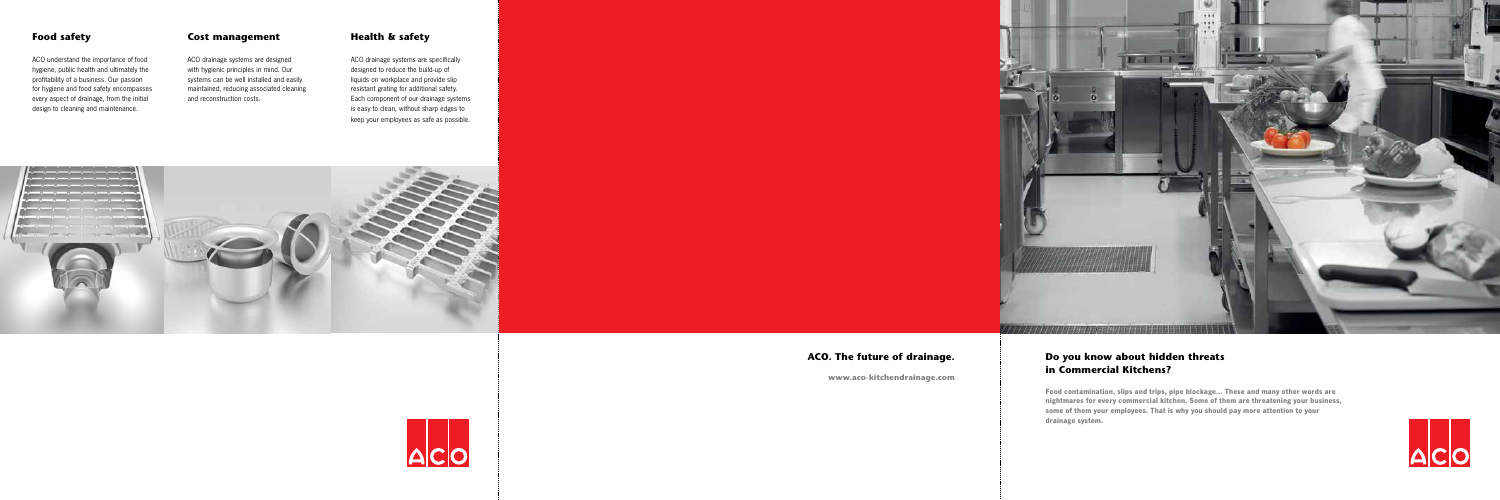ACO understand the importance of food hygiene, public health and ultimately the profitability of a business. Our passion for hygiene and food safety encompasses every aspect of drainage, from the initial design to cleaning and maintenance.

# Food safety **Cost management** Health & safety

ACO drainage systems are designed with hygienic principles in mind. Our systems can be well installed and easily maintained, reducing associated cleaning and reconstruction costs.

ACO drainage systems are specifically designed to reduce the build-up of liquids on workplace and provide slip resistant grating for additional safety. Each component of our drainage systems is easy to clean, without sharp edges to keep your employees as safe as possible.



# Do you know about hidden threats in Commercial Kitchens?

**Food contamination, slips and trips, pipe blockage… These and many other words are nightmares for every commercial kitchen. Some of them are threatening your business, some of them your employees. That is why you should pay more attention to your drainage system.**



ACO. The future of drainage.





www.aco-kitchendrainage.com